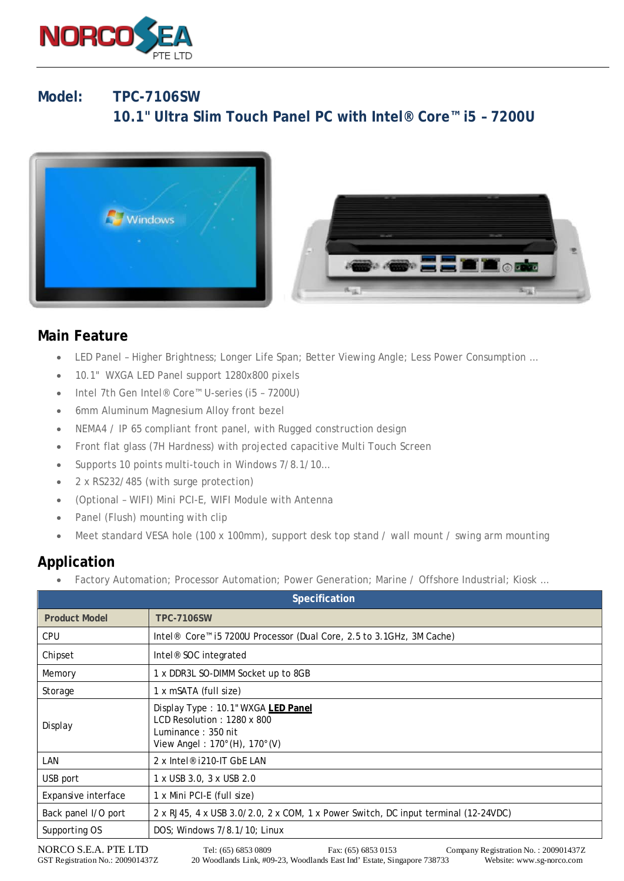

## **Model: TPC-7106SW 10.1" Ultra Slim Touch Panel PC with Intel® Core™ i5 – 7200U**



## **Main Feature**

- LED Panel Higher Brightness; Longer Life Span; Better Viewing Angle; Less Power Consumption …
- 10.1" WXGA LED Panel support 1280x800 pixels
- Intel 7th Gen Intel® Core™ U-series (i5 7200U)
- 6mm Aluminum Magnesium Alloy front bezel
- NEMA4 / IP 65 compliant front panel, with Rugged construction design
- Front flat glass (7H Hardness) with projected capacitive Multi Touch Screen
- Supports 10 points multi-touch in Windows 7/8.1/10...
- 2 x RS232/485 (with surge protection)
- (Optional WIFI) Mini PCI-E, WIFI Module with Antenna
- Panel (Flush) mounting with clip
- Meet standard VESA hole (100 x 100mm), support desk top stand / wall mount / swing arm mounting

## **Application**

• Factory Automation; Processor Automation; Power Generation; Marine / Offshore Industrial; Kiosk ...

| <b>Specification</b> |                                                                                                                                              |
|----------------------|----------------------------------------------------------------------------------------------------------------------------------------------|
| <b>Product Model</b> | <b>TPC-7106SW</b>                                                                                                                            |
| <b>CPU</b>           | Intel <sup>®</sup> Core <sup>™</sup> i5 7200U Processor (Dual Core, 2.5 to 3.1GHz, 3M Cache)                                                 |
| Chipset              | Intel <sup>®</sup> SOC integrated                                                                                                            |
| Memory               | 1 x DDR3L SO-DIMM Socket up to 8GB                                                                                                           |
| Storage              | 1 x mSATA (full size)                                                                                                                        |
| Display              | Display Type: 10.1" WXGA LED Panel<br>LCD Resolution: 1280 x 800<br>Luminance: 350 nit<br>View Angel: 170 $^{\circ}$ (H), 170 $^{\circ}$ (V) |
| LAN                  | 2 x Intel <sup>®</sup> i210-IT GbE LAN                                                                                                       |
| USB port             | 1 x USB 3.0, 3 x USB 2.0                                                                                                                     |
| Expansive interface  | 1 x Mini PCI-E (full size)                                                                                                                   |
| Back panel I/O port  | 2 x RJ45, 4 x USB 3.0/2.0, 2 x COM, 1 x Power Switch, DC input terminal (12-24VDC)                                                           |
| Supporting OS        | DOS; Windows 7/8.1/10; Linux                                                                                                                 |

NORCO S.E.A. PTE LTD Tel: (65) 6853 0809 Fax: (65) 6853 0153 Company Registration No. : 200901437Z<br>GST Registration No.: 200901437Z 20 Woodlands Link, #09-23, Woodlands East Ind' Estate, Singapore 738733 Website: www.sg-no 20 Woodlands Link, #09-23, Woodlands East Ind' Estate, Singapore 738733